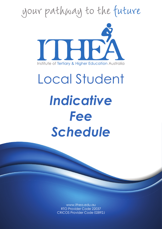

*Schedule*

www.ithea.edu.au RTO Provider Code 22037 CRICOS Provider Code 02892J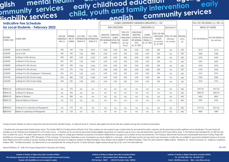## glish mental neality childhood education  $\frac{1}{2}$  early glish mental neuring according of education and early<br>In agencing the services and terminal and terminity services **disability services child, youth and family intervention early engalish community services**<br> **english community services**<br> **lndicative Fee Schedule**<br> **for Local Students - February 2022 early childhoo<sup>d</sup> community services job see**

|                         | <b>Indicative Fee Schedule</b>                    | ELIGIBLE GOVERNMENT SUBSIDISED ENROLMENT(1) - FEE |                                    |                                                       |                                                 |                                                                                        |                                                  |                                                                                       |                                                                                                                 |                                               | FULL FEE FOR SERVICE (2) / RPL (4)                                       |                                               |                           |                    |                                      |
|-------------------------|---------------------------------------------------|---------------------------------------------------|------------------------------------|-------------------------------------------------------|-------------------------------------------------|----------------------------------------------------------------------------------------|--------------------------------------------------|---------------------------------------------------------------------------------------|-----------------------------------------------------------------------------------------------------------------|-----------------------------------------------|--------------------------------------------------------------------------|-----------------------------------------------|---------------------------|--------------------|--------------------------------------|
|                         | for Local Students - February 2022                | NON CONCESSION                                    |                                    |                                                       | CONCESSION (5)                                  |                                                                                        |                                                  | JobTrainer(7)                                                                         |                                                                                                                 |                                               | WHOLE OF COURSE                                                          |                                               |                           |                    |                                      |
| NATIONAL<br>COURSE CODE | <b>COURSE NAME</b>                                | MAX GOV<br>SUBSIDISED<br>HRS(3)                   | <b>NOMINAL</b><br>HRS OF<br>COURSE | <b>2022 HRLY</b><br><b>CONTRIBUTION</b><br>FROM SF \$ | 2022 TOTAL<br><b>CONTRIBUTION</b><br>FROM SF \$ | <b>INDICATIVE</b><br><b>TUITION FEE</b><br>PER NOMINAL TUITION FEE<br>HR <sub>\$</sub> | <b>INDICATIVE</b><br>COURSE<br><b>PAYABLE \$</b> | <b>TOTAL FEE</b><br>PAID NON<br>CONCESSION<br>HOLDER<br>(inc mat<br>fee $\frac{1}{2}$ | CONCESSION<br><b>INDICATIVE</b><br>TUITION FEE<br>PER NOMINAL   PAYABLE \$<br>HR <sub>\$</sub><br>GC, ICI, FW/E | COURSE<br><b>TUITION FEE</b><br>GC, ICI, FW/E | TOTAL FEE PAID<br>CONCESSION<br>HOLDER<br>(inc mat fee)<br>GC, ICI, FW/E | TOTAL FEE PAID<br>JobTrainer<br>(inc mat fee) | MATERIAL<br>FEE \$<br>(6) | FEE FOR SERVICE \$ | FEE FOR SERVICE \$<br>(inc mat fees) |
| 22482VIC                | Course in Initial EAL                             | 430                                               | 430                                | 7.00                                                  | 3010                                            | 0.00                                                                                   | 0.00                                             | 200                                                                                   | 0.00                                                                                                            | 0.00                                          | 200                                                                      | n/a                                           | 200                       | 3010               | 3210                                 |
| 22483VIC                | Course in EAL                                     | 440                                               | 440                                | 7.00                                                  | 3080                                            | 0.00                                                                                   | 0.00                                             | 200                                                                                   | 0.00                                                                                                            | 0.00                                          | 200                                                                      | n/a                                           | 200                       | 3080               | 3280                                 |
| 22484VIC                | Certificate I in EAL (Access)                     | 500                                               | 460                                | 7.00                                                  | 3,220                                           | 0.00                                                                                   | 0.00                                             | 200                                                                                   | 0.00                                                                                                            | 0.00                                          | 200                                                                      | n/a                                           | 200                       | 3220               | 3420                                 |
| 22485VIC                | Certificate II in EAL (Access)                    | 505                                               | 495                                | 7.00                                                  | 3.465                                           | 0.00                                                                                   | 0.00                                             | 200                                                                                   | 0.00                                                                                                            | 0.00                                          | 200                                                                      | n/a                                           | 200                       | 3465               | 3665                                 |
| 22486VIC                | Certificate III in EAL (Access)                   | 500                                               | 490                                | 7.00                                                  | 3.430                                           | 0.00                                                                                   | 0.00                                             | 200                                                                                   | 0.00                                                                                                            | 0.00                                          | 200                                                                      | n/a                                           | 200                       | 3430               | 3630                                 |
| 22487VIC                | Certificate IV in EAL (Access)                    | 610                                               | 535                                | 7.00                                                  | 3745                                            | 0.00                                                                                   | 0.00                                             | 200                                                                                   | 0.00                                                                                                            | 0.00                                          | 200                                                                      | n/a                                           | 200                       | 3745               | 3945                                 |
| 22490VIC                | Certificate IV in EAL (Employment / Professional) | 555                                               | 475                                | 7.00                                                  | 3,325                                           | 0.00                                                                                   | 0.00                                             | 200                                                                                   | 0.00                                                                                                            | 0.00                                          | 200                                                                      | n/a                                           | 200                       | 3325               | 3525                                 |
| 22491VIC                | Certificate III in EAL (Further Study)            | 530                                               | 480                                | 7.00                                                  | 3.360                                           | 0.00                                                                                   | 0.00                                             | 200                                                                                   | 0.00                                                                                                            | 0.00                                          | 200                                                                      | n/a                                           | 200                       | 3360               | 3560                                 |
| 22492VIC                | Certificate IV in EAL (Further Study)             | 540                                               | 505                                | 7.00                                                  | 3535                                            | 0.00                                                                                   | 0.00                                             | 200                                                                                   | 0.00                                                                                                            | 0.00                                          | 200                                                                      | n/a                                           | 200                       | 3535               | 3735                                 |
| BSB30120                | Certificate III in Business                       | n/a                                               | 475                                | n/a                                                   | n/a                                             | n/a                                                                                    | n/a                                              | n/a                                                                                   | n/a                                                                                                             | n/a                                           | n/a                                                                      | n/a                                           | 200                       | 3347.50            | 3547.50                              |
| BSB40120                | Certificate IV in Business                        | n/a                                               | 540                                | n/a                                                   | n/a                                             | n/a                                                                                    | n/a                                              | n/a                                                                                   | n/a                                                                                                             | n/a                                           | n/a                                                                      | n/a                                           | 200                       | 3802.50            | 4002.50                              |
| BSB50120                | Diploma of Business                               | n/a                                               | 480                                | n/a                                                   | n/a                                             | n/a                                                                                    | n/a                                              | n/a                                                                                   | n/a                                                                                                             | n/a                                           | n/a                                                                      | n/a                                           | 400                       | 4420               | 4820                                 |
| BSB60120                | Advanced Diploma of Business                      | n/a                                               | 510                                | n/a                                                   | n/a                                             | n/a                                                                                    | n/a                                              | n/a                                                                                   | n/a                                                                                                             | n/a                                           | n/a                                                                      | n/a                                           | 400                       | 3965               | 4365                                 |
| BSB40520                | Certificate IV in Leadership and Management       | n/a                                               | 575                                | n/a                                                   | n/a                                             | n/a                                                                                    | n/a                                              | n/a                                                                                   | n/a                                                                                                             | n/a                                           | n/a                                                                      | n/a                                           | 200                       | 3737.50            | 3937.50                              |
| <b>BSB50420</b>         | Diploma of Leadership and Management              | n/a                                               | 720                                | n/a                                                   | n/a                                             | n/a                                                                                    | n/a                                              | n/a                                                                                   | n/a                                                                                                             | n/a                                           | n/a                                                                      | n/a                                           | 400                       | 4680               | 5080                                 |

Cooling-off period: Students are able to change their mind and cancel their intended training. A cooling off period of 3 business days applies from the the date they complete and sign their enrolment documentation.

1) Students who meet government funded training criteria. This includes Skills First Funding and the JobTrainer Fund. These students are only required to pay a student tuition fee and material fee (where required), and the subsidise up to the 'Maximum Govt Subsidised Hrs' in the chosen course. 2) Students who do not meet the government funding eligibility requirements are required to pay all course costs and material fees required for their hours to deliver the course. The student tuition fees are indicative only and subject to change given individual circumstances at enrolment. Additional fees may apply such as student services and amenity fees. This Trainin disabilities are encouraged to apply 4) RPL (Recognition of Prior Learning). 5) Concessions: Depending on your circumstances you may be eligible for a concession - which will reduce any fees you may need to pay. Concession below Diploma level and for training at any level, including at Diploma level and above for Indigenous students. Fee Waiver/Exemption: Some Students may be eligible for Fee Waiver/Exemption. Tuition Fee will be waived for Initiative, FW/E - Fee Waiver/Exemption. (6) Material Fees are not refundable after the cooling off period. (7) Under JobTrainer, eligible students will pay only 20 per cent of the listed tuition fee.

General Definitions: SF - Skills First Program (Department of Education and Training)

**Institute of Tertiary & Higher Education Australia (ITHEA) This training is delivered with Victorian and Commonwealth Government funding People with disabilities are encouraged to apply**

**Institute of Tertiary & Higher Education Australia (ITHEA) Level 11, 168 Lonsdale Street, Melbourne, 3000 RTO Number: 22037 CRICOS Provider Code: 02892J** **Institute of Tertiary & Higher Education Australia (ITHEA) Tel: 03 9650 3900 Fax: 03 9650 3199 Email: info@ithea.edu.au Web: www.ithea.edu.au**

**Pg 1 of 2**